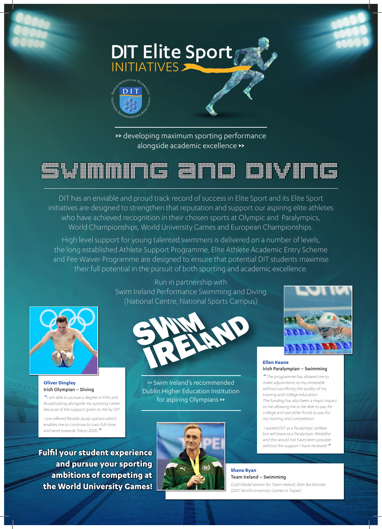

**>>** developing maximum sporting performance alongside academic excellence **>>** 



DIT has an enviable and proud track record of success in Elite Sport and its Elite Sport initiatives are designed to strengthen that reputation and support our aspiring elite athletes who have achieved recognition in their chosen sports at Olympic and Paralympics, World Championships, World University Games and European Championships.

High level support for young talented swimmers is delivered on a number of levels, the long established Athlete Support Programme, Elite Athlete Academic Entry Scheme and Fee Waiver Programme are designed to ensure that potential DIT students maximise their full potential in the pursuit of both sporting and academic excellence.



**Oliver Dingley**  Irish Olympian – Diving

*"I am able to pursue a degree in Film and Broadcasting alongside my sporting career because of the support given to me by DIT.*

 *I am offered flexible study options which enables me to continue to train full-time and work towards Tokyo 2020."*

**Fulfil your student experience and pursue your sporting ambitions of competing at the World University Games!**

Run in partnership with Swim Ireland Performance Swimming and Diving (National Centre, National Sports Campus)



>> Swim Ireland's recommended Dublin Higher Education Institution for aspiring Olympians **>>** 



### **Ellen Keane**  Irish Paralympian – Swimming

*" The programme has allowed me to make adjustments to my timetable without sacrificing the quality of my training and college education. The funding has also been a major impact to me allowing me to be able to pay for college and use other funds to pay for my training and competition.*

 *I started DIT as a Paralympic athlete but will leave as a Paralympic Medallist and this would not have been possible without the support I have received."*

**Shane Ryan**  Team Ireland – Swimming *Gold Medal winner for Team Ireland, 50m Backstroke (2017 World University Games in Taipei)*